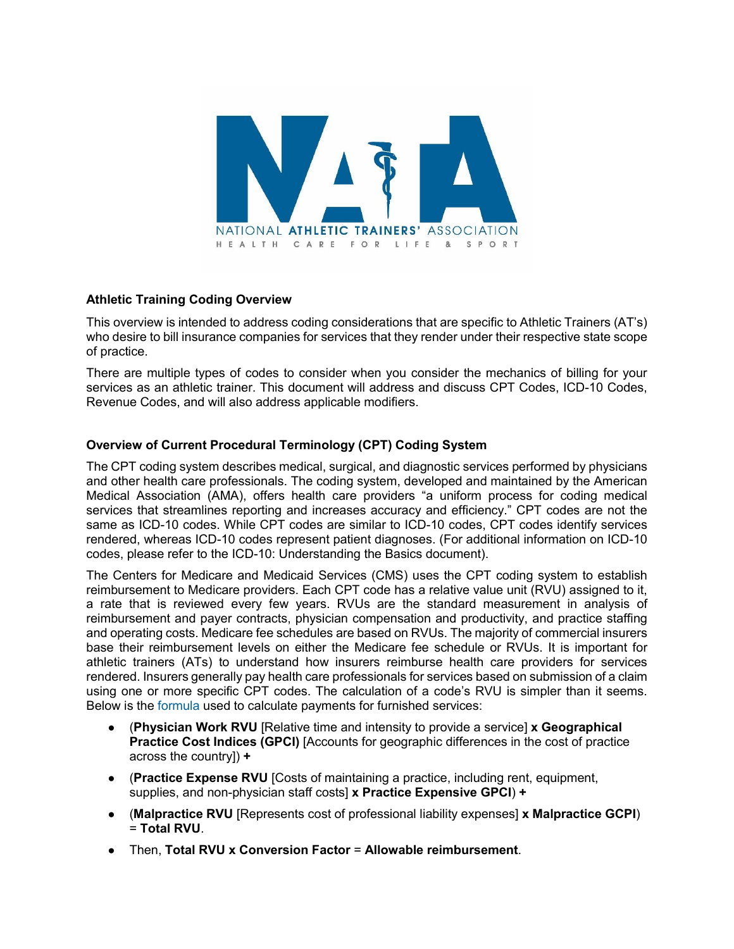

#### **Athletic Training Coding Overview**

This overview is intended to address coding considerations that are specific to Athletic Trainers (AT's) who desire to bill insurance companies for services that they render under their respective state scope of practice.

There are multiple types of codes to consider when you consider the mechanics of billing for your services as an athletic trainer. This document will address and discuss CPT Codes, ICD-10 Codes, Revenue Codes, and will also address applicable modifiers.

#### **Overview of Current Procedural Terminology (CPT) Coding System**

The CPT coding system describes medical, surgical, and diagnostic services performed by physicians and other health care professionals. The coding system, developed and maintained by the American Medical Association (AMA), offers health care providers "a uniform process for coding medical services that streamlines reporting and increases accuracy and efficiency." CPT codes are not the same as ICD-10 codes. While CPT codes are similar to ICD-10 codes, CPT codes identify services rendered, whereas ICD-10 codes represent patient diagnoses. (For additional information on ICD-10 codes, please refer to the ICD-10: Understanding the Basics document).

The Centers for Medicare and Medicaid Services (CMS) uses the CPT coding system to establish reimbursement to Medicare providers. Each CPT code has a relative value unit (RVU) assigned to it, a rate that is reviewed every few years. RVUs are the standard measurement in analysis of reimbursement and payer contracts, physician compensation and productivity, and practice staffing and operating costs. Medicare fee schedules are based on RVUs. The majority of commercial insurers base their reimbursement levels on either the Medicare fee schedule or RVUs. It is important for athletic trainers (ATs) to understand how insurers reimburse health care providers for services rendered. Insurers generally pay health care professionals for services based on submission of a claim using one or more specific CPT codes. The calculation of a code's RVU is simpler than it seems. Below is the [formula](https://www.cms.gov/Outreach-and-Education/Medicare-Learning-Network-MLN/MLNProducts/downloads/MedcrephysFeeSchedfctsht.pdf) used to calculate payments for furnished services:

- (**Physician Work RVU** [Relative time and intensity to provide a service] **x Geographical Practice Cost Indices (GPCI)** [Accounts for geographic differences in the cost of practice across the country]) **+**
- (**Practice Expense RVU** [Costs of maintaining a practice, including rent, equipment, supplies, and non-physician staff costs] **x Practice Expensive GPCI**) **+**
- (**Malpractice RVU** [Represents cost of professional liability expenses] **x Malpractice GCPI**) = **Total RVU**.
- Then, **Total RVU x Conversion Factor** = **Allowable reimbursement**.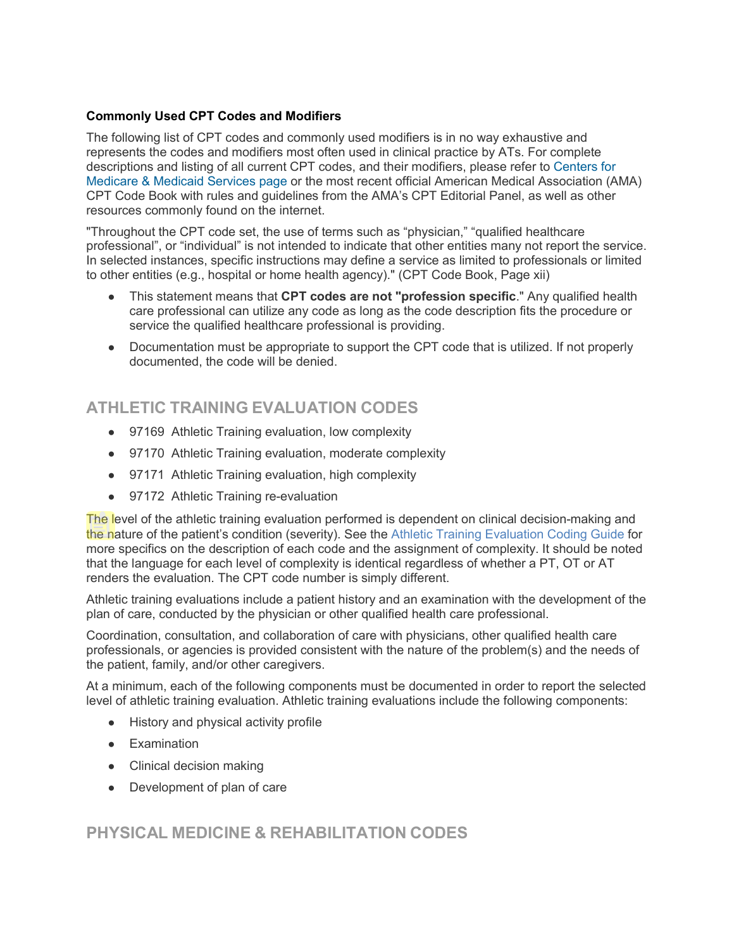#### **Commonly Used CPT Codes and Modifiers**

The following list of CPT codes and commonly used modifiers is in no way exhaustive and represents the codes and modifiers most often used in clinical practice by ATs. For complete descriptions and listing of all current CPT codes, and their modifiers, please refer to [Centers for](https://www.cms.gov/Medicare/Fraud-and-Abuse/PhysicianSelfReferral/List_of_Codes.html)  [Medicare & Medicaid Services page](https://www.cms.gov/Medicare/Fraud-and-Abuse/PhysicianSelfReferral/List_of_Codes.html) or the most recent official American Medical Association (AMA) CPT Code Book with rules and guidelines from the AMA's CPT Editorial Panel, as well as other resources commonly found on the internet.

"Throughout the CPT code set, the use of terms such as "physician," "qualified healthcare professional", or "individual" is not intended to indicate that other entities many not report the service. In selected instances, specific instructions may define a service as limited to professionals or limited to other entities (e.g., hospital or home health agency)." (CPT Code Book, Page xii)

- This statement means that **CPT codes are not "profession specific**." Any qualified health care professional can utilize any code as long as the code description fits the procedure or service the qualified healthcare professional is providing.
- Documentation must be appropriate to support the CPT code that is utilized. If not properly documented, the code will be denied.

# **ATHLETIC TRAINING EVALUATION CODES**

- 97169 Athletic Training evaluation, low complexity
- 97170 Athletic Training evaluation, moderate complexity
- 97171 Athletic Training evaluation, high complexity
- 97172 Athletic Training re-evaluation

The level of the athletic training evaluation performed is dependent on clinical decision-making and the nature of the patient's condition (severity). See the Athletic Training Evaluation Coding Guide for more specifics on the description of each code and the assignment of complexity. It should be noted that the language for each level of complexity is identical regardless of whether a PT, OT or AT renders the evaluation. The CPT code number is simply different.

Athletic training evaluations include a patient history and an examination with the development of the plan of care, conducted by the physician or other qualified health care professional.

Coordination, consultation, and collaboration of care with physicians, other qualified health care professionals, or agencies is provided consistent with the nature of the problem(s) and the needs of the patient, family, and/or other caregivers.

At a minimum, each of the following components must be documented in order to report the selected level of athletic training evaluation. Athletic training evaluations include the following components:

- History and physical activity profile
- Examination
- Clinical decision making
- Development of plan of care

## **PHYSICAL MEDICINE & REHABILITATION CODES**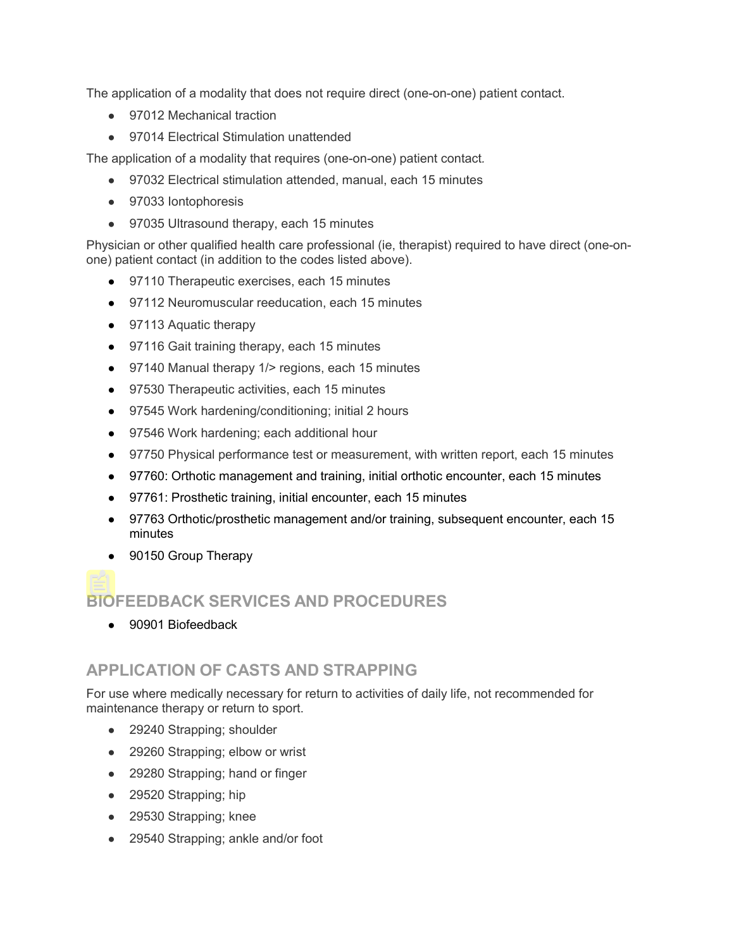The application of a modality that does not require direct (one-on-one) patient contact.

- 97012 Mechanical traction
- 97014 Electrical Stimulation unattended

The application of a modality that requires (one-on-one) patient contact*.*

- 97032 Electrical stimulation attended, manual, each 15 minutes
- 97033 Iontophoresis
- 97035 Ultrasound therapy, each 15 minutes

Physician or other qualified health care professional (ie, therapist) required to have direct (one-onone) patient contact (in addition to the codes listed above).

- 97110 Therapeutic exercises, each 15 minutes
- 97112 Neuromuscular reeducation, each 15 minutes
- 97113 Aquatic therapy
- 97116 Gait training therapy, each 15 minutes
- 97140 Manual therapy 1/> regions, each 15 minutes
- 97530 Therapeutic activities, each 15 minutes
- 97545 Work hardening/conditioning; initial 2 hours
- 97546 Work hardening; each additional hour
- 97750 Physical performance test or measurement, with written report, each 15 minutes
- 97760: Orthotic management and training, initial orthotic encounter, each 15 minutes
- 97761: Prosthetic training, initial encounter, each 15 minutes
- 97763 Orthotic/prosthetic management and/or training, subsequent encounter, each 15 minutes
- 90150 Group Therapy

## **BIOFEEDBACK SERVICES AND PROCEDURES**

● 90901 Biofeedback

## **APPLICATION OF CASTS AND STRAPPING**

For use where medically necessary for return to activities of daily life, not recommended for maintenance therapy or return to sport.

- 29240 Strapping; shoulder
- 29260 Strapping; elbow or wrist
- 29280 Strapping; hand or finger
- 29520 Strapping; hip
- 29530 Strapping; knee
- 29540 Strapping; ankle and/or foot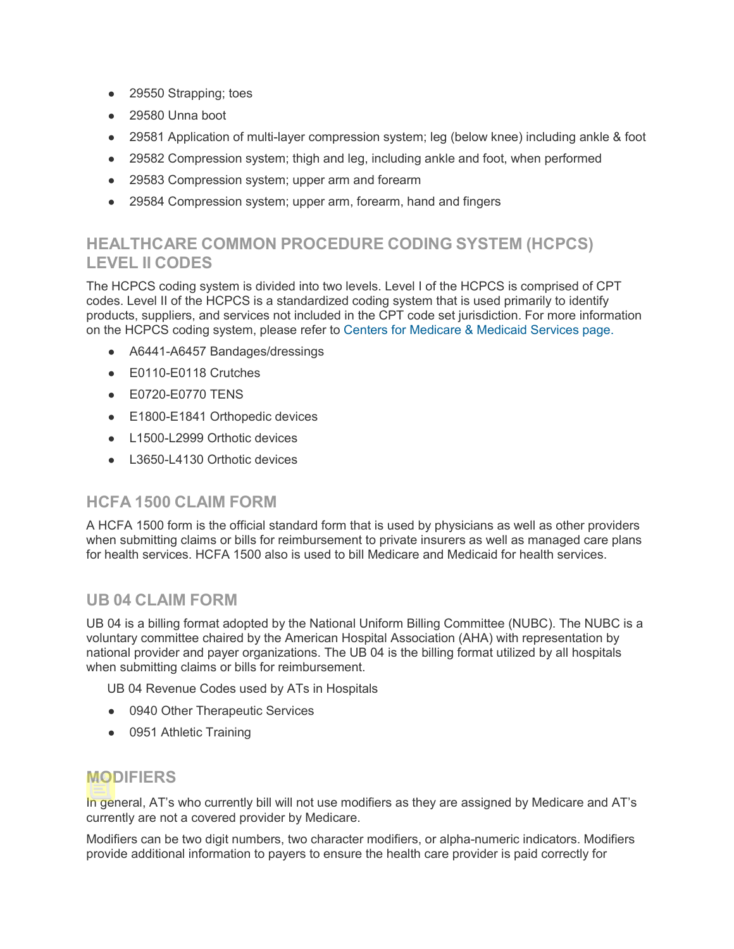- 29550 Strapping; toes
- 29580 Unna boot
- 29581 Application of multi-layer compression system; leg (below knee) including ankle & foot
- 29582 Compression system; thigh and leg, including ankle and foot, when performed
- 29583 Compression system; upper arm and forearm
- 29584 Compression system; upper arm, forearm, hand and fingers

## **HEALTHCARE COMMON PROCEDURE CODING SYSTEM (HCPCS) LEVEL II CODES**

The HCPCS coding system is divided into two levels. Level I of the HCPCS is comprised of CPT codes. Level II of the HCPCS is a standardized coding system that is used primarily to identify products, suppliers, and services not included in the CPT code set jurisdiction. For more information on the HCPCS coding system, please refer to [Centers for Medicare & Medicaid Services page.](https://www.cms.gov/Medicare/Fraud-and-Abuse/PhysicianSelfReferral/List_of_Codes.html)

- A6441-A6457 Bandages/dressings
- E0110-E0118 Crutches
- E0720-E0770 TENS
- E1800-E1841 Orthopedic devices
- L1500-L2999 Orthotic devices
- L3650-L4130 Orthotic devices

### **HCFA 1500 CLAIM FORM**

A HCFA 1500 form is the official standard form that is used by physicians as well as other providers when submitting claims or bills for reimbursement to private insurers as well as managed care plans for health services. HCFA 1500 also is used to bill Medicare and Medicaid for health services.

### **UB 04 CLAIM FORM**

UB 04 is a billing format adopted by the National Uniform Billing Committee (NUBC). The NUBC is a voluntary committee chaired by the American Hospital Association (AHA) with representation by national provider and payer organizations. The UB 04 is the billing format utilized by all hospitals when submitting claims or bills for reimbursement.

UB 04 Revenue Codes used by ATs in Hospitals

- 0940 Other Therapeutic Services
- 0951 Athletic Training

### **MODIFIERS**

In general, AT's who currently bill will not use modifiers as they are assigned by Medicare and AT's currently are not a covered provider by Medicare.

Modifiers can be two digit numbers, two character modifiers, or alpha-numeric indicators. Modifiers provide additional information to payers to ensure the health care provider is paid correctly for